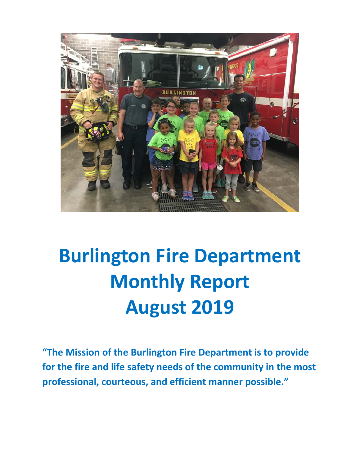

# **Burlington Fire Department Monthly Report August 2019**

**"The Mission of the Burlington Fire Department is to provide for the fire and life safety needs of the community in the most professional, courteous, and efficient manner possible."**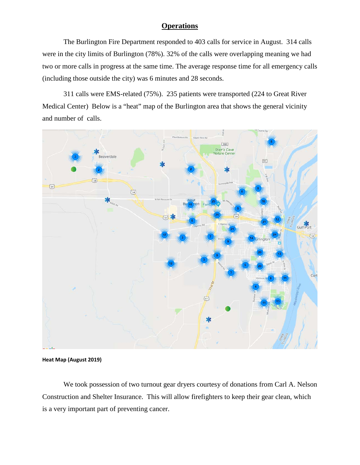### **Operations**

The Burlington Fire Department responded to 403 calls for service in August. 314 calls were in the city limits of Burlington (78%). 32% of the calls were overlapping meaning we had two or more calls in progress at the same time. The average response time for all emergency calls (including those outside the city) was 6 minutes and 28 seconds.

311 calls were EMS-related (75%). 235 patients were transported (224 to Great River Medical Center) Below is a "heat" map of the Burlington area that shows the general vicinity and number of calls.



**Heat Map (August 2019)**

We took possession of two turnout gear dryers courtesy of donations from Carl A. Nelson Construction and Shelter Insurance. This will allow firefighters to keep their gear clean, which is a very important part of preventing cancer.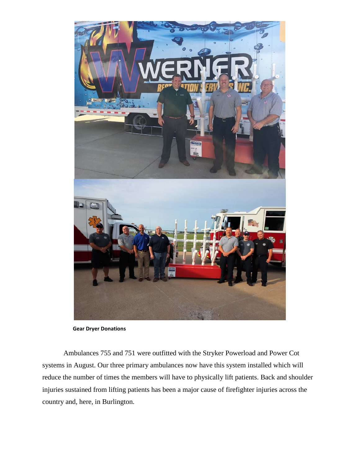

 **Gear Dryer Donations**

Ambulances 755 and 751 were outfitted with the Stryker Powerload and Power Cot systems in August. Our three primary ambulances now have this system installed which will reduce the number of times the members will have to physically lift patients. Back and shoulder injuries sustained from lifting patients has been a major cause of firefighter injuries across the country and, here, in Burlington.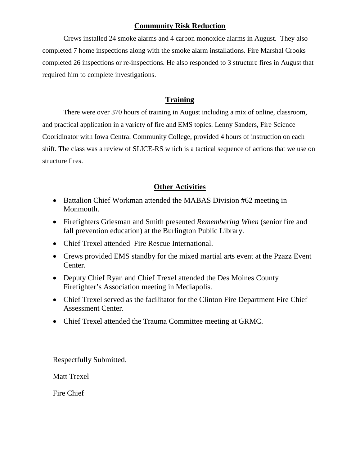## **Community Risk Reduction**

Crews installed 24 smoke alarms and 4 carbon monoxide alarms in August. They also completed 7 home inspections along with the smoke alarm installations. Fire Marshal Crooks completed 26 inspections or re-inspections. He also responded to 3 structure fires in August that required him to complete investigations.

## **Training**

There were over 370 hours of training in August including a mix of online, classroom, and practical application in a variety of fire and EMS topics. Lenny Sanders, Fire Science Cooridinator with Iowa Central Community College, provided 4 hours of instruction on each shift. The class was a review of SLICE-RS which is a tactical sequence of actions that we use on structure fires.

## **Other Activities**

- Battalion Chief Workman attended the MABAS Division #62 meeting in Monmouth.
- Firefighters Griesman and Smith presented *Remembering When* (senior fire and fall prevention education) at the Burlington Public Library.
- Chief Trexel attended Fire Rescue International.
- Crews provided EMS standby for the mixed martial arts event at the Pzazz Event Center.
- Deputy Chief Ryan and Chief Trexel attended the Des Moines County Firefighter's Association meeting in Mediapolis.
- Chief Trexel served as the facilitator for the Clinton Fire Department Fire Chief Assessment Center.
- Chief Trexel attended the Trauma Committee meeting at GRMC.

Respectfully Submitted,

Matt Trexel

Fire Chief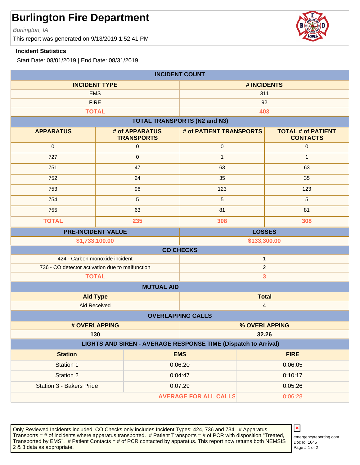Burlington, IA

This report was generated on 9/13/2019 1:52:41 PM

### **Incident Statistics**

Start Date: 08/01/2019 | End Date: 08/31/2019

| <b>INCIDENT COUNT</b>                                                        |                                     |                         |                                              |  |
|------------------------------------------------------------------------------|-------------------------------------|-------------------------|----------------------------------------------|--|
| <b>INCIDENT TYPE</b>                                                         |                                     | # INCIDENTS             |                                              |  |
| <b>EMS</b>                                                                   |                                     | 311                     |                                              |  |
| <b>FIRE</b>                                                                  |                                     |                         | 92                                           |  |
|                                                                              | <b>TOTAL</b>                        |                         | 403                                          |  |
| <b>TOTAL TRANSPORTS (N2 and N3)</b>                                          |                                     |                         |                                              |  |
| <b>APPARATUS</b>                                                             | # of APPARATUS<br><b>TRANSPORTS</b> | # of PATIENT TRANSPORTS | <b>TOTAL # of PATIENT</b><br><b>CONTACTS</b> |  |
| $\mathbf{0}$                                                                 | $\pmb{0}$                           | $\pmb{0}$               | $\mathbf 0$                                  |  |
| 727                                                                          | $\pmb{0}$                           | $\mathbf{1}$            | $\mathbf{1}$                                 |  |
| 751                                                                          | 47                                  | 63                      | 63                                           |  |
| 752                                                                          | 24                                  | 35                      | 35                                           |  |
| 753                                                                          | 96                                  | 123                     | 123                                          |  |
| 754                                                                          | 5                                   | 5                       | $\overline{5}$                               |  |
| 755                                                                          | 63                                  | 81                      | 81                                           |  |
| <b>TOTAL</b>                                                                 | 235                                 | 308                     | 308                                          |  |
|                                                                              | <b>PRE-INCIDENT VALUE</b>           |                         | <b>LOSSES</b>                                |  |
| \$1,733,100.00<br>\$133,300.00                                               |                                     |                         |                                              |  |
|                                                                              |                                     | <b>CO CHECKS</b>        |                                              |  |
| 424 - Carbon monoxide incident                                               |                                     |                         | $\mathbf{1}$                                 |  |
| 736 - CO detector activation due to malfunction                              |                                     | $\overline{c}$          |                                              |  |
| <b>TOTAL</b>                                                                 |                                     |                         | 3                                            |  |
|                                                                              | <b>MUTUAL AID</b>                   |                         |                                              |  |
| <b>Aid Type</b>                                                              |                                     | <b>Total</b>            |                                              |  |
| <b>Aid Received</b><br>$\overline{\mathbf{4}}$                               |                                     |                         |                                              |  |
| <b>OVERLAPPING CALLS</b>                                                     |                                     |                         |                                              |  |
|                                                                              | # OVERLAPPING                       |                         | % OVERLAPPING                                |  |
| 32.26<br>130                                                                 |                                     |                         |                                              |  |
| LIGHTS AND SIREN - AVERAGE RESPONSE TIME (Dispatch to Arrival)<br><b>EMS</b> |                                     |                         |                                              |  |
| <b>Station</b>                                                               |                                     |                         | <b>FIRE</b>                                  |  |
| Station 1                                                                    |                                     | 0:06:20                 | 0:06:05                                      |  |
| Station 2                                                                    |                                     | 0:04:47                 | 0:10:17                                      |  |
| Station 3 - Bakers Pride                                                     |                                     | 0:07:29                 | 0:05:26                                      |  |
| <b>AVERAGE FOR ALL CALLS</b><br>0:06:28                                      |                                     |                         |                                              |  |

Only Reviewed Incidents included. CO Checks only includes Incident Types: 424, 736 and 734. # Apparatus Transports = # of incidents where apparatus transported. # Patient Transports = # of PCR with disposition "Treated, Transported by EMS". # Patient Contacts = # of PCR contacted by apparatus. This report now returns both NEMSIS 2 & 3 data as appropriate. The set of 2 set of 2 set of 2 set of 2 set of 2 set of 2 set of 2 set of 2 set of 2



Doc Id: 1645 emergencyreporting.com

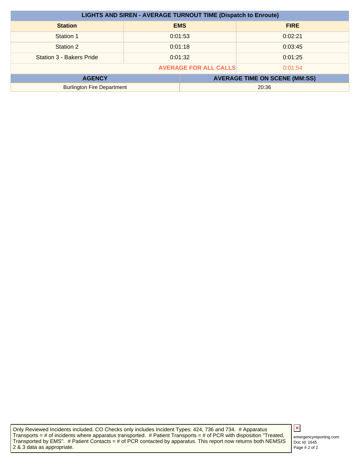| <b>LIGHTS AND SIREN - AVERAGE TURNOUT TIME (Dispatch to Enroute)</b> |  |            |                                      |
|----------------------------------------------------------------------|--|------------|--------------------------------------|
| <b>Station</b>                                                       |  | <b>EMS</b> | <b>FIRE</b>                          |
| Station 1                                                            |  | 0:01:53    | 0:02:21                              |
| Station 2                                                            |  | 0:01:18    | 0:03:45                              |
| Station 3 - Bakers Pride                                             |  | 0:01:32    | 0:01:25                              |
| <b>AVERAGE FOR ALL CALLS</b><br>0:01:54                              |  |            |                                      |
| <b>AGENCY</b>                                                        |  |            | <b>AVERAGE TIME ON SCENE (MM:SS)</b> |
| <b>Burlington Fire Department</b>                                    |  |            | 20:36                                |

Only Reviewed Incidents included. CO Checks only includes Incident Types: 424, 736 and 734. # Apparatus Transports = # of incidents where apparatus transported. # Patient Transports = # of PCR with disposition "Treated, Transported by EMS". # Patient Contacts = # of PCR contacted by apparatus. This report now returns both NEMSIS 2 & 3 data as appropriate.

## $\pmb{\times}$

Doc Id: 1645 emergencyreporting.com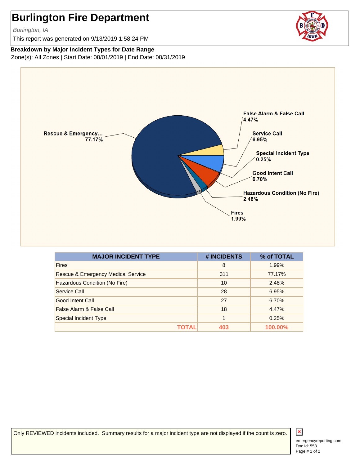Burlington, IA

This report was generated on 9/13/2019 1:58:24 PM

**Breakdown by Major Incident Types for Date Range** Zone(s): All Zones | Start Date: 08/01/2019 | End Date: 08/31/2019



| <b>MAJOR INCIDENT TYPE</b>                    | # INCIDENTS | % of TOTAL |
|-----------------------------------------------|-------------|------------|
| <b>Fires</b>                                  | 8           | 1.99%      |
| <b>Rescue &amp; Emergency Medical Service</b> | 311         | 77.17%     |
| Hazardous Condition (No Fire)                 | 10          | 2.48%      |
| Service Call                                  | 28          | 6.95%      |
| Good Intent Call                              | 27          | 6.70%      |
| False Alarm & False Call                      | 18          | 4.47%      |
| <b>Special Incident Type</b>                  | 1           | 0.25%      |
| ΤΩΤΑΙ                                         | 403         | 100.00%    |

Only REVIEWED incidents included. Summary results for a major incident type are not displayed if the count is zero.

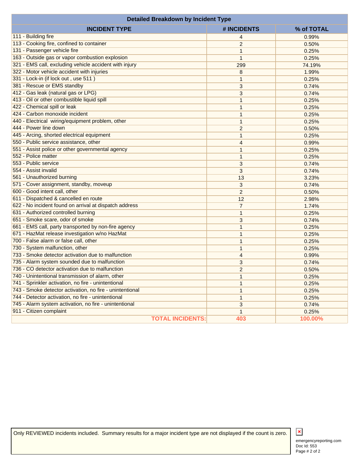| <b>Detailed Breakdown by Incident Type</b>               |                         |                |            |
|----------------------------------------------------------|-------------------------|----------------|------------|
| <b>INCIDENT TYPE</b>                                     |                         | # INCIDENTS    | % of TOTAL |
| 111 - Building fire                                      |                         | 4              | 0.99%      |
| 113 - Cooking fire, confined to container                |                         | $\overline{2}$ | 0.50%      |
| 131 - Passenger vehicle fire                             |                         | 1              | 0.25%      |
| 163 - Outside gas or vapor combustion explosion          |                         | 1              | 0.25%      |
| 321 - EMS call, excluding vehicle accident with injury   |                         | 299            | 74.19%     |
| 322 - Motor vehicle accident with injuries               |                         | 8              | 1.99%      |
| 331 - Lock-in (if lock out, use 511)                     |                         | 1              | 0.25%      |
| 381 - Rescue or EMS standby                              |                         | 3              | 0.74%      |
| 412 - Gas leak (natural gas or LPG)                      |                         | 3              | 0.74%      |
| 413 - Oil or other combustible liquid spill              |                         | 1              | 0.25%      |
| 422 - Chemical spill or leak                             |                         | 1              | 0.25%      |
| 424 - Carbon monoxide incident                           |                         | 1              | 0.25%      |
| 440 - Electrical wiring/equipment problem, other         |                         | 1              | 0.25%      |
| 444 - Power line down                                    |                         | $\overline{2}$ | 0.50%      |
| 445 - Arcing, shorted electrical equipment               |                         | 1              | 0.25%      |
| 550 - Public service assistance, other                   |                         | 4              | 0.99%      |
| 551 - Assist police or other governmental agency         |                         | 1              | 0.25%      |
| 552 - Police matter                                      |                         | 1              | 0.25%      |
| 553 - Public service                                     |                         | 3              | 0.74%      |
| 554 - Assist invalid                                     |                         | 3              | 0.74%      |
| 561 - Unauthorized burning                               |                         | 13             | 3.23%      |
| 571 - Cover assignment, standby, moveup                  |                         | 3              | 0.74%      |
| 600 - Good intent call, other                            |                         | $\overline{c}$ | 0.50%      |
| 611 - Dispatched & cancelled en route                    |                         | 12             | 2.98%      |
| 622 - No incident found on arrival at dispatch address   |                         | 7              | 1.74%      |
| 631 - Authorized controlled burning                      |                         | 1              | 0.25%      |
| 651 - Smoke scare, odor of smoke                         |                         | 3              | 0.74%      |
| 661 - EMS call, party transported by non-fire agency     |                         | 1              | 0.25%      |
| 671 - HazMat release investigation w/no HazMat           |                         | 1              | 0.25%      |
| 700 - False alarm or false call, other                   |                         | 1              | 0.25%      |
| 730 - System malfunction, other                          |                         | 1              | 0.25%      |
| 733 - Smoke detector activation due to malfunction       |                         | $\overline{4}$ | 0.99%      |
| 735 - Alarm system sounded due to malfunction            |                         | 3              | 0.74%      |
| 736 - CO detector activation due to malfunction          |                         | $\overline{c}$ | 0.50%      |
| 740 - Unintentional transmission of alarm, other         |                         | $\mathbf{1}$   | 0.25%      |
| 741 - Sprinkler activation, no fire - unintentional      |                         | 1              | 0.25%      |
| 743 - Smoke detector activation, no fire - unintentional |                         | 1              | 0.25%      |
| 744 - Detector activation, no fire - unintentional       |                         | 1              | 0.25%      |
| 745 - Alarm system activation, no fire - unintentional   |                         | $\sqrt{3}$     | 0.74%      |
| 911 - Citizen complaint                                  |                         | 1              | 0.25%      |
|                                                          | <b>TOTAL INCIDENTS:</b> | 403            | 100.00%    |

Only REVIEWED incidents included. Summary results for a major incident type are not displayed if the count is zero.

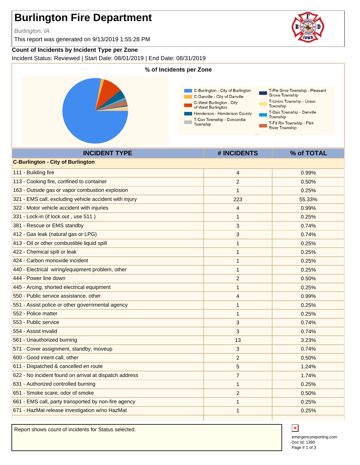Burlington, IA

This report was generated on 9/13/2019 1:55:28 PM

### **Count of Incidents by Incident Type per Zone**

Incident Status: Reviewed | Start Date: 08/01/2019 | End Date: 08/31/2019



|                                                        | $\pi$ invidents | $10 \, \text{U}$ 1 $\text{V}$ 1 AL |
|--------------------------------------------------------|-----------------|------------------------------------|
| <b>C-Burlington - City of Burlington</b>               |                 |                                    |
| 111 - Building fire                                    | 4               | 0.99%                              |
| 113 - Cooking fire, confined to container              | $\overline{2}$  | 0.50%                              |
| 163 - Outside gas or vapor combustion explosion        | $\mathbf{1}$    | 0.25%                              |
| 321 - EMS call, excluding vehicle accident with injury | 223             | 55.33%                             |
| 322 - Motor vehicle accident with injuries             | 4               | 0.99%                              |
| 331 - Lock-in (if lock out, use 511)                   | 1               | 0.25%                              |
| 381 - Rescue or EMS standby                            | 3               | 0.74%                              |
| 412 - Gas leak (natural gas or LPG)                    | 3               | 0.74%                              |
| 413 - Oil or other combustible liquid spill            | 1               | 0.25%                              |
| 422 - Chemical spill or leak                           | 1               | 0.25%                              |
| 424 - Carbon monoxide incident                         | 1               | 0.25%                              |
| 440 - Electrical wiring/equipment problem, other       | 1               | 0.25%                              |
| 444 - Power line down                                  | $\overline{c}$  | 0.50%                              |
| 445 - Arcing, shorted electrical equipment             | $\mathbf{1}$    | 0.25%                              |
| 550 - Public service assistance, other                 | 4               | 0.99%                              |
| 551 - Assist police or other governmental agency       | $\mathbf{1}$    | 0.25%                              |
| 552 - Police matter                                    | 1               | 0.25%                              |
| 553 - Public service                                   | 3               | 0.74%                              |
| 554 - Assist invalid                                   | 3               | 0.74%                              |
| 561 - Unauthorized burning                             | 13              | 3.23%                              |
| 571 - Cover assignment, standby, moveup                | 3               | 0.74%                              |
| 600 - Good intent call, other                          | $\overline{c}$  | 0.50%                              |
| 611 - Dispatched & cancelled en route                  | 5               | 1.24%                              |
| 622 - No incident found on arrival at dispatch address | 7               | 1.74%                              |
| 631 - Authorized controlled burning                    | 1               | 0.25%                              |
| 651 - Smoke scare, odor of smoke                       | $\overline{c}$  | 0.50%                              |
| 661 - EMS call, party transported by non-fire agency   | 1               | 0.25%                              |
| 671 - HazMat release investigation w/no HazMat         | 1               | 0.25%                              |
|                                                        |                 |                                    |

Report shows count of incidents for Status selected.





 $\pmb{\times}$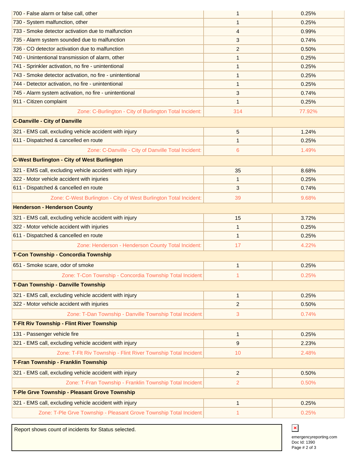| 700 - False alarm or false call, other                              | 1              | 0.25%  |
|---------------------------------------------------------------------|----------------|--------|
| 730 - System malfunction, other                                     | 1              | 0.25%  |
| 733 - Smoke detector activation due to malfunction                  | 4              | 0.99%  |
| 735 - Alarm system sounded due to malfunction                       | 3              | 0.74%  |
| 736 - CO detector activation due to malfunction                     | $\overline{2}$ | 0.50%  |
| 740 - Unintentional transmission of alarm, other                    | 1              | 0.25%  |
| 741 - Sprinkler activation, no fire - unintentional                 | 1              | 0.25%  |
| 743 - Smoke detector activation, no fire - unintentional            | 1              | 0.25%  |
| 744 - Detector activation, no fire - unintentional                  | 1              | 0.25%  |
| 745 - Alarm system activation, no fire - unintentional              | 3              | 0.74%  |
| 911 - Citizen complaint                                             | 1              | 0.25%  |
| Zone: C-Burlington - City of Burlington Total Incident:             | 314            | 77.92% |
| <b>C-Danville - City of Danville</b>                                |                |        |
| 321 - EMS call, excluding vehicle accident with injury              | 5              | 1.24%  |
| 611 - Dispatched & cancelled en route                               | 1              | 0.25%  |
| Zone: C-Danville - City of Danville Total Incident:                 | 6              | 1.49%  |
| <b>C-West Burlington - City of West Burlington</b>                  |                |        |
| 321 - EMS call, excluding vehicle accident with injury              | 35             | 8.68%  |
| 322 - Motor vehicle accident with injuries                          | 1              | 0.25%  |
| 611 - Dispatched & cancelled en route                               | 3              | 0.74%  |
| Zone: C-West Burlington - City of West Burlington Total Incident:   | 39             | 9.68%  |
| <b>Henderson - Henderson County</b>                                 |                |        |
| 321 - EMS call, excluding vehicle accident with injury              | 15             | 3.72%  |
| 322 - Motor vehicle accident with injuries                          | 1              | 0.25%  |
|                                                                     |                |        |
| 611 - Dispatched & cancelled en route                               | 1              | 0.25%  |
| Zone: Henderson - Henderson County Total Incident:                  | 17             | 4.22%  |
| T-Con Township - Concordia Township                                 |                |        |
| 651 - Smoke scare, odor of smoke                                    | 1              | 0.25%  |
| Zone: T-Con Township - Concordia Township Total Incident:           |                | 0.25%  |
| <b>T-Dan Township - Danville Township</b>                           |                |        |
| 321 - EMS call, excluding vehicle accident with injury              | $\mathbf{1}$   | 0.25%  |
| 322 - Motor vehicle accident with injuries                          | 2              | 0.50%  |
| Zone: T-Dan Township - Danville Township Total Incident:            | 3              | 0.74%  |
| <b>T-Fit Riv Township - Flint River Township</b>                    |                |        |
| 131 - Passenger vehicle fire                                        | $\mathbf{1}$   | 0.25%  |
| 321 - EMS call, excluding vehicle accident with injury              | 9              | 2.23%  |
| Zone: T-Flt Riv Township - Flint River Township Total Incident:     | 10             | 2.48%  |
| T-Fran Township - Franklin Township                                 |                |        |
| 321 - EMS call, excluding vehicle accident with injury              | 2              | 0.50%  |
| Zone: T-Fran Township - Franklin Township Total Incident:           | 2              | 0.50%  |
| T-Ple Grve Township - Pleasant Grove Township                       |                |        |
| 321 - EMS call, excluding vehicle accident with injury              | 1              | 0.25%  |
| Zone: T-Ple Grve Township - Pleasant Grove Township Total Incident: | 1              | 0.25%  |

Report shows count of incidents for Status selected.

Doc Id: 1390 emergencyreporting.com Page # 2 of 3

 $\pmb{\times}$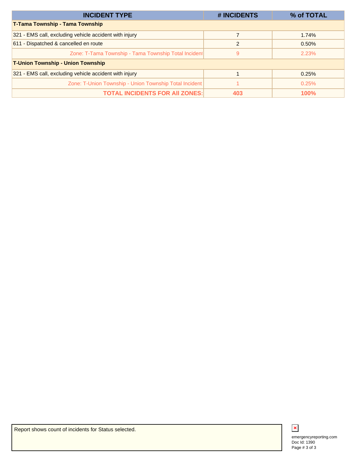| <b>INCIDENT TYPE</b>                                   | # INCIDENTS   | % of TOTAL  |
|--------------------------------------------------------|---------------|-------------|
| <b>T-Tama Township - Tama Township</b>                 |               |             |
| 321 - EMS call, excluding vehicle accident with injury |               | 1.74%       |
| 611 - Dispatched & cancelled en route                  | $\mathcal{P}$ | 0.50%       |
| Zone: T-Tama Township - Tama Township Total Incident   | 9             | 2.23%       |
| <b>T-Union Township - Union Township</b>               |               |             |
| 321 - EMS call, excluding vehicle accident with injury |               | 0.25%       |
| Zone: T-Union Township - Union Township Total Incident |               | 0.25%       |
| <b>TOTAL INCIDENTS FOR AII ZONES:</b>                  | 403           | <b>100%</b> |



Report shows count of incidents for Status selected.

Doc Id: 1390 emergencyreporting.com Page # 3 of 3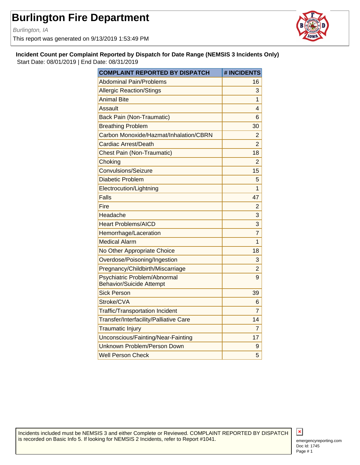Burlington, IA

This report was generated on 9/13/2019 1:53:49 PM



**Incident Count per Complaint Reported by Dispatch for Date Range (NEMSIS 3 Incidents Only)** Start Date: 08/01/2019 | End Date: 08/31/2019

| <b>COMPLAINT REPORTED BY DISPATCH</b>                           | # INCIDENTS    |
|-----------------------------------------------------------------|----------------|
| <b>Abdominal Pain/Problems</b>                                  | 16             |
| <b>Allergic Reaction/Stings</b>                                 | 3              |
| <b>Animal Bite</b>                                              | 1              |
| Assault                                                         | 4              |
| <b>Back Pain (Non-Traumatic)</b>                                | 6              |
| <b>Breathing Problem</b>                                        | 30             |
| Carbon Monoxide/Hazmat/Inhalation/CBRN                          | $\overline{2}$ |
| Cardiac Arrest/Death                                            | $\overline{2}$ |
| <b>Chest Pain (Non-Traumatic)</b>                               | 18             |
| Choking                                                         | $\overline{2}$ |
| <b>Convulsions/Seizure</b>                                      | 15             |
| <b>Diabetic Problem</b>                                         | 5              |
| Electrocution/Lightning                                         | 1              |
| Falls                                                           | 47             |
| Fire                                                            | $\overline{2}$ |
| Headache                                                        | 3              |
| <b>Heart Problems/AICD</b>                                      | 3              |
| Hemorrhage/Laceration                                           | 7              |
| <b>Medical Alarm</b>                                            | 1              |
| No Other Appropriate Choice                                     | 18             |
| Overdose/Poisoning/Ingestion                                    | 3              |
| Pregnancy/Childbirth/Miscarriage                                | 2              |
| Psychiatric Problem/Abnormal<br><b>Behavior/Suicide Attempt</b> | 9              |
| <b>Sick Person</b>                                              | 39             |
| Stroke/CVA                                                      | 6              |
| <b>Traffic/Transportation Incident</b>                          | 7              |
| Transfer/Interfacility/Palliative Care                          | 14             |
| <b>Traumatic Injury</b>                                         | 7              |
| Unconscious/Fainting/Near-Fainting                              | 17             |
| Unknown Problem/Person Down                                     | 9              |
| <b>Well Person Check</b>                                        | 5              |

Incidents included must be NEMSIS 3 and either Complete or Reviewed. COMPLAINT REPORTED BY DISPATCH is recorded on Basic Info 5. If looking for NEMSIS 2 Incidents, refer to Report #1041.

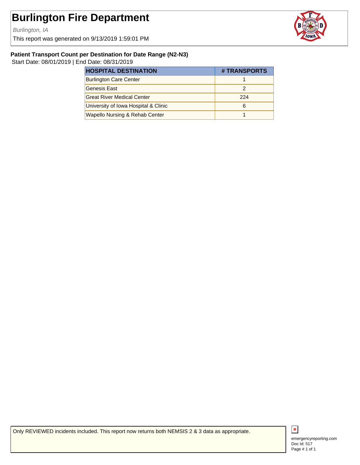Burlington, IA

This report was generated on 9/13/2019 1:59:01 PM



### **Patient Transport Count per Destination for Date Range (N2-N3)**

Start Date: 08/01/2019 | End Date: 08/31/2019

| <b>HOSPITAL DESTINATION</b>               | # TRANSPORTS |
|-------------------------------------------|--------------|
| <b>Burlington Care Center</b>             |              |
| Genesis East                              |              |
| <b>Great River Medical Center</b>         | 224          |
| University of Iowa Hospital & Clinic      | 6            |
| <b>Wapello Nursing &amp; Rehab Center</b> |              |

Only REVIEWED incidents included. This report now returns both NEMSIS 2 & 3 data as appropriate.



Doc Id: 517 emergencyreporting.com Page # 1 of 1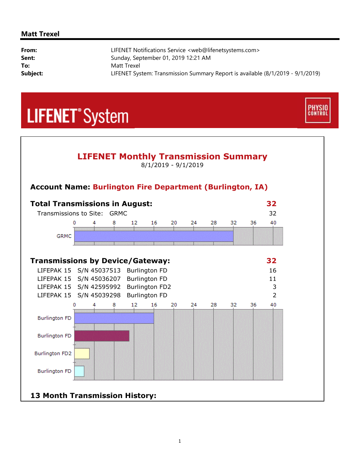### **Matt Trexel**

| From:    | LIFENET Notifications Service <web@lifenetsystems.com></web@lifenetsystems.com> |
|----------|---------------------------------------------------------------------------------|
| Sent:    | Sunday, September 01, 2019 12:21 AM                                             |
| To:      | Matt Trexel                                                                     |
| Subject: | LIFENET System: Transmission Summary Report is available (8/1/2019 - 9/1/2019)  |

**PHYSIO**<br>CONTROL

# **LIFENET**<sup>\*</sup>System